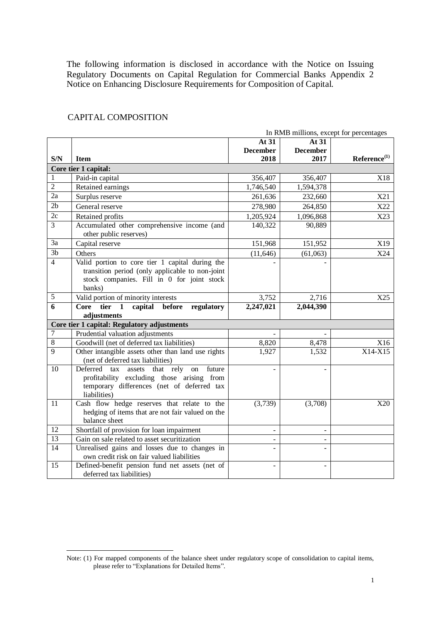The following information is disclosed in accordance with the Notice on Issuing Regulatory Documents on Capital Regulation for Commercial Banks Appendix 2 Notice on Enhancing Disclosure Requirements for Composition of Capital.

|                 | In RMB millions, except for percentages                                                                                                                            |                          |                              |                          |  |
|-----------------|--------------------------------------------------------------------------------------------------------------------------------------------------------------------|--------------------------|------------------------------|--------------------------|--|
|                 |                                                                                                                                                                    | At 31                    | At 31                        |                          |  |
|                 |                                                                                                                                                                    | <b>December</b>          | <b>December</b>              |                          |  |
| S/N             | <b>Item</b>                                                                                                                                                        | 2018                     | 2017                         | Reference <sup>(1)</sup> |  |
|                 | Core tier 1 capital:                                                                                                                                               |                          |                              |                          |  |
| 1               | Paid-in capital                                                                                                                                                    | 356,407                  | 356,407                      | X18                      |  |
| $\overline{2}$  | Retained earnings                                                                                                                                                  | 1,746,540                | 1,594,378                    |                          |  |
| $\overline{2a}$ | Surplus reserve                                                                                                                                                    | 261,636                  | 232,660                      | X21                      |  |
| 2 <sub>b</sub>  | General reserve                                                                                                                                                    | 278,980                  | 264,850                      | X22                      |  |
| 2c              | Retained profits                                                                                                                                                   | 1,205,924                | 1,096,868                    | X23                      |  |
| 3               | Accumulated other comprehensive income (and<br>other public reserves)                                                                                              | 140,322                  | 90,889                       |                          |  |
| 3a              | Capital reserve                                                                                                                                                    | 151,968                  | 151,952                      | X19                      |  |
| $\overline{3b}$ | Others                                                                                                                                                             | (11, 646)                | (61,063)                     | X24                      |  |
| $\overline{4}$  | Valid portion to core tier 1 capital during the<br>transition period (only applicable to non-joint<br>stock companies. Fill in 0 for joint stock<br>banks)         |                          |                              |                          |  |
| 5               | Valid portion of minority interests                                                                                                                                | 3,752                    | 2,716                        | X25                      |  |
| $\overline{6}$  | tier<br>$\mathbf{1}$<br>capital before<br><b>Core</b><br>regulatory                                                                                                | 2,247,021                | 2,044,390                    |                          |  |
|                 | adjustments                                                                                                                                                        |                          |                              |                          |  |
|                 | Core tier 1 capital: Regulatory adjustments                                                                                                                        |                          |                              |                          |  |
| 7               | Prudential valuation adjustments                                                                                                                                   |                          |                              |                          |  |
| 8               | Goodwill (net of deferred tax liabilities)                                                                                                                         | 8,820                    | 8,478                        | X16                      |  |
| $\overline{9}$  | Other intangible assets other than land use rights<br>(net of deferred tax liabilities)                                                                            | 1,927                    | 1,532                        | X14-X15                  |  |
| 10              | Deferred<br>that rely<br>future<br>tax<br>assets<br>on<br>profitability excluding those arising from<br>temporary differences (net of deferred tax<br>liabilities) |                          |                              |                          |  |
| 11              | Cash flow hedge reserves that relate to the<br>hedging of items that are not fair valued on the<br>balance sheet                                                   | (3,739)                  | (3,708)                      | X20                      |  |
| 12              | Shortfall of provision for loan impairment                                                                                                                         | $\overline{\phantom{a}}$ | $\qquad \qquad \blacksquare$ |                          |  |
| 13              | Gain on sale related to asset securitization                                                                                                                       | $\overline{\phantom{0}}$ | $\qquad \qquad \blacksquare$ |                          |  |
| $\overline{14}$ | Unrealised gains and losses due to changes in<br>own credit risk on fair valued liabilities                                                                        |                          |                              |                          |  |
| 15              | Defined-benefit pension fund net assets (net of<br>deferred tax liabilities)                                                                                       |                          |                              |                          |  |

#### CAPITAL COMPOSITION

**.** 

Note: (1) For mapped components of the balance sheet under regulatory scope of consolidation to capital items, please refer to "Explanations for Detailed Items".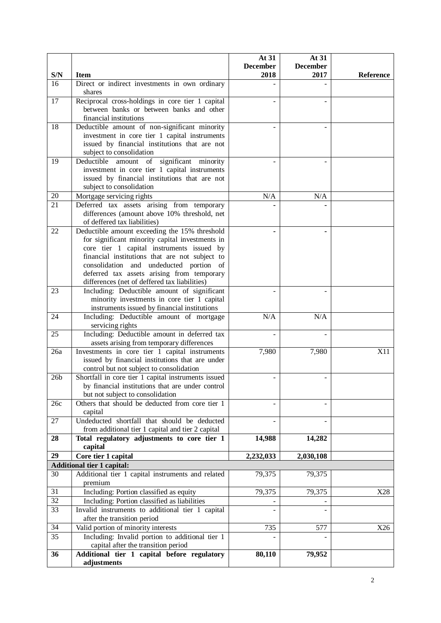|                 |                                                                                              | At 31<br><b>December</b> | At 31<br><b>December</b> |           |
|-----------------|----------------------------------------------------------------------------------------------|--------------------------|--------------------------|-----------|
| S/N             | <b>Item</b>                                                                                  | 2018                     | 2017                     | Reference |
| 16              | Direct or indirect investments in own ordinary                                               |                          |                          |           |
|                 | shares                                                                                       |                          |                          |           |
| 17              | Reciprocal cross-holdings in core tier 1 capital                                             |                          |                          |           |
|                 | between banks or between banks and other                                                     |                          |                          |           |
|                 | financial institutions                                                                       |                          |                          |           |
| 18              | Deductible amount of non-significant minority                                                |                          |                          |           |
|                 | investment in core tier 1 capital instruments                                                |                          |                          |           |
|                 | issued by financial institutions that are not                                                |                          |                          |           |
|                 | subject to consolidation                                                                     |                          |                          |           |
| 19              | significant minority<br>Deductible amount of                                                 |                          |                          |           |
|                 | investment in core tier 1 capital instruments                                                |                          |                          |           |
|                 | issued by financial institutions that are not                                                |                          |                          |           |
|                 | subject to consolidation                                                                     |                          |                          |           |
| 20              | Mortgage servicing rights                                                                    | N/A                      | N/A                      |           |
| 21              | Deferred tax assets arising from temporary                                                   |                          |                          |           |
|                 | differences (amount above 10% threshold, net                                                 |                          |                          |           |
|                 | of deffered tax liabilities)                                                                 |                          |                          |           |
| 22              | Deductible amount exceeding the 15% threshold                                                |                          |                          |           |
|                 | for significant minority capital investments in                                              |                          |                          |           |
|                 | core tier 1 capital instruments issued by                                                    |                          |                          |           |
|                 | financial institutions that are not subject to                                               |                          |                          |           |
|                 | consolidation and undeducted portion of                                                      |                          |                          |           |
|                 | deferred tax assets arising from temporary                                                   |                          |                          |           |
| 23              | differences (net of deffered tax liabilities)<br>Including: Deductible amount of significant |                          |                          |           |
|                 | minority investments in core tier 1 capital                                                  |                          |                          |           |
|                 | instruments issued by financial institutions                                                 |                          |                          |           |
| 24              | Including: Deductible amount of mortgage                                                     | N/A                      | N/A                      |           |
|                 | servicing rights                                                                             |                          |                          |           |
| 25              | Including: Deductible amount in deferred tax                                                 |                          |                          |           |
|                 | assets arising from temporary differences                                                    |                          |                          |           |
| 26a             | Investments in core tier 1 capital instruments                                               | 7,980                    | 7,980                    | X11       |
|                 | issued by financial institutions that are under                                              |                          |                          |           |
|                 | control but not subject to consolidation                                                     |                          |                          |           |
| 26 <sub>b</sub> | Shortfall in core tier 1 capital instruments issued                                          |                          |                          |           |
|                 | by financial institutions that are under control                                             |                          |                          |           |
|                 | but not subject to consolidation                                                             |                          |                          |           |
| 26c             | Others that should be deducted from core tier 1<br>capital                                   |                          |                          |           |
| 27              | Undeducted shortfall that should be deducted                                                 |                          |                          |           |
|                 | from additional tier 1 capital and tier 2 capital                                            |                          |                          |           |
| 28              | Total regulatory adjustments to core tier 1                                                  | 14,988                   | 14,282                   |           |
|                 | capital                                                                                      |                          |                          |           |
| 29              | Core tier 1 capital                                                                          | 2,232,033                | 2,030,108                |           |
|                 | <b>Additional tier 1 capital:</b>                                                            |                          |                          |           |
| 30              | Additional tier 1 capital instruments and related                                            | 79,375                   | 79,375                   |           |
|                 | premium                                                                                      |                          |                          |           |
| 31              | Including: Portion classified as equity                                                      | 79,375                   | 79,375                   | X28       |
| $\overline{32}$ | Including: Portion classified as liabilities                                                 |                          |                          |           |
| 33              | Invalid instruments to additional tier 1 capital                                             |                          |                          |           |
|                 | after the transition period                                                                  |                          |                          |           |
| 34              | Valid portion of minority interests                                                          | 735                      | 577                      | X26       |
| 35              | Including: Invalid portion to additional tier 1                                              |                          |                          |           |
|                 | capital after the transition period                                                          |                          |                          |           |
| 36              | Additional tier 1 capital before regulatory                                                  | 80,110                   | 79,952                   |           |
|                 | adjustments                                                                                  |                          |                          |           |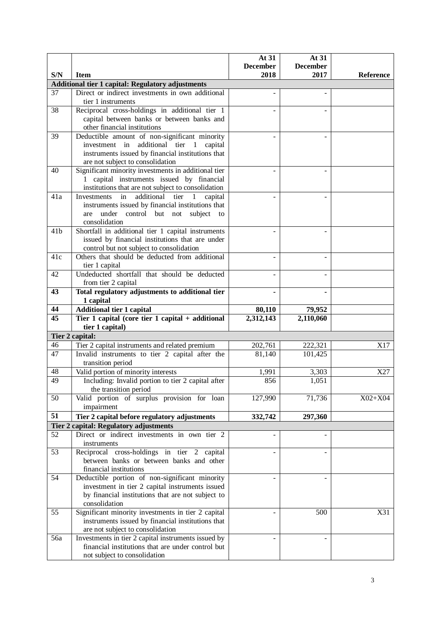|                 |                                                                                                               | At 31<br><b>December</b> | At 31<br><b>December</b> |           |
|-----------------|---------------------------------------------------------------------------------------------------------------|--------------------------|--------------------------|-----------|
| S/N             | <b>Item</b>                                                                                                   | 2018                     | 2017                     | Reference |
|                 | <b>Additional tier 1 capital: Regulatory adjustments</b>                                                      |                          |                          |           |
| 37              | Direct or indirect investments in own additional                                                              |                          |                          |           |
|                 | tier 1 instruments                                                                                            |                          |                          |           |
| 38              | Reciprocal cross-holdings in additional tier 1                                                                |                          |                          |           |
|                 | capital between banks or between banks and                                                                    |                          |                          |           |
|                 | other financial institutions                                                                                  |                          |                          |           |
| 39              | Deductible amount of non-significant minority                                                                 |                          |                          |           |
|                 | investment in additional tier 1 capital                                                                       |                          |                          |           |
|                 | instruments issued by financial institutions that                                                             |                          |                          |           |
|                 | are not subject to consolidation                                                                              |                          |                          |           |
| 40              | Significant minority investments in additional tier                                                           |                          |                          |           |
|                 | 1 capital instruments issued by financial                                                                     |                          |                          |           |
| 41a             | institutions that are not subject to consolidation<br>additional<br>Investments<br>in<br>tier<br>1<br>capital |                          |                          |           |
|                 | instruments issued by financial institutions that                                                             |                          |                          |           |
|                 | under<br>control but not subject<br>are<br>to                                                                 |                          |                          |           |
|                 | consolidation                                                                                                 |                          |                          |           |
| 41 <sub>b</sub> | Shortfall in additional tier 1 capital instruments                                                            |                          |                          |           |
|                 | issued by financial institutions that are under                                                               |                          |                          |           |
|                 | control but not subject to consolidation                                                                      |                          |                          |           |
| 41c             | Others that should be deducted from additional                                                                |                          |                          |           |
|                 | tier 1 capital                                                                                                |                          |                          |           |
| 42              | Undeducted shortfall that should be deducted                                                                  |                          |                          |           |
|                 | from tier 2 capital                                                                                           |                          |                          |           |
| 43              | Total regulatory adjustments to additional tier                                                               |                          |                          |           |
|                 | 1 capital                                                                                                     |                          |                          |           |
| 44              | <b>Additional tier 1 capital</b>                                                                              | 80,110                   | 79,952                   |           |
| $\overline{45}$ | Tier 1 capital (core tier 1 capital $+$ additional                                                            | 2,312,143                | 2,110,060                |           |
|                 | tier 1 capital)                                                                                               |                          |                          |           |
|                 | Tier 2 capital:                                                                                               |                          |                          |           |
| 46              | Tier 2 capital instruments and related premium                                                                | 202,761                  | 222,321                  | X17       |
| 47              | Invalid instruments to tier 2 capital after the<br>transition period                                          | 81,140                   | 101,425                  |           |
| 48              | Valid portion of minority interests                                                                           | 1,991                    | 3,303                    | X27       |
| 49              | Including: Invalid portion to tier 2 capital after                                                            | 856                      | 1,051                    |           |
|                 | the transition period                                                                                         |                          |                          |           |
| 50              | Valid portion of surplus provision for loan                                                                   | 127,990                  | 71,736                   | $X02+X04$ |
|                 | impairment                                                                                                    |                          |                          |           |
| 51              | Tier 2 capital before regulatory adjustments                                                                  | 332,742                  | 297,360                  |           |
|                 | <b>Tier 2 capital: Regulatory adjustments</b>                                                                 |                          |                          |           |
| 52              | Direct or indirect investments in own tier 2                                                                  |                          |                          |           |
|                 | instruments                                                                                                   |                          |                          |           |
| 53              | Reciprocal cross-holdings in tier 2 capital                                                                   |                          |                          |           |
|                 | between banks or between banks and other                                                                      |                          |                          |           |
|                 | financial institutions                                                                                        |                          |                          |           |
| 54              | Deductible portion of non-significant minority                                                                |                          |                          |           |
|                 | investment in tier 2 capital instruments issued                                                               |                          |                          |           |
|                 | by financial institutions that are not subject to                                                             |                          |                          |           |
|                 | consolidation                                                                                                 |                          |                          |           |
| 55              | Significant minority investments in tier 2 capital                                                            |                          | 500                      | X31       |
|                 | instruments issued by financial institutions that                                                             |                          |                          |           |
|                 | are not subject to consolidation                                                                              |                          |                          |           |
| 56a             | Investments in tier 2 capital instruments issued by<br>financial institutions that are under control but      |                          |                          |           |
|                 | not subject to consolidation                                                                                  |                          |                          |           |
|                 |                                                                                                               |                          |                          |           |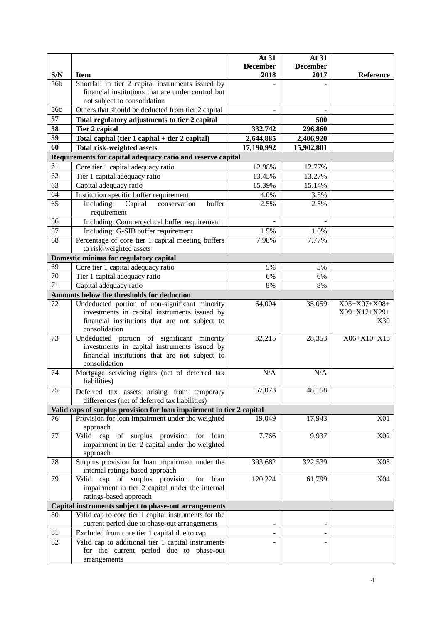|                       |                                                                                                        | At 31            | At 31                   |                   |
|-----------------------|--------------------------------------------------------------------------------------------------------|------------------|-------------------------|-------------------|
|                       |                                                                                                        | <b>December</b>  | <b>December</b><br>2017 |                   |
| S/N<br>56b            | <b>Item</b>                                                                                            | 2018             |                         | Reference         |
|                       | Shortfall in tier 2 capital instruments issued by<br>financial institutions that are under control but |                  |                         |                   |
|                       | not subject to consolidation                                                                           |                  |                         |                   |
| 56c                   | Others that should be deducted from tier 2 capital                                                     |                  |                         |                   |
| 57                    | Total regulatory adjustments to tier 2 capital                                                         |                  | 500                     |                   |
| 58                    | <b>Tier 2 capital</b>                                                                                  | 332,742          | 296,860                 |                   |
| $\overline{59}$       | Total capital (tier 1 capital + tier 2 capital)                                                        | 2,644,885        | 2,406,920               |                   |
| 60                    | <b>Total risk-weighted assets</b>                                                                      | 17,190,992       | 15,902,801              |                   |
|                       | Requirements for capital adequacy ratio and reserve capital                                            |                  |                         |                   |
| 61                    |                                                                                                        |                  |                         |                   |
| 62                    | Core tier 1 capital adequacy ratio                                                                     | 12.98%<br>13.45% | 12.77%                  |                   |
| 63                    | Tier 1 capital adequacy ratio                                                                          | 15.39%           | 13.27%                  |                   |
| 64                    | Capital adequacy ratio                                                                                 |                  | 15.14%                  |                   |
| 65                    | Institution specific buffer requirement<br>Including:<br>buffer                                        | 4.0%<br>2.5%     | 3.5%                    |                   |
|                       | Capital<br>conservation<br>requirement                                                                 |                  | 2.5%                    |                   |
| 66                    | Including: Countercyclical buffer requirement                                                          |                  |                         |                   |
|                       |                                                                                                        |                  |                         |                   |
| 67<br>$\overline{68}$ | Including: G-SIB buffer requirement                                                                    | 1.5%             | 1.0%<br>7.77%           |                   |
|                       | Percentage of core tier 1 capital meeting buffers<br>to risk-weighted assets                           | 7.98%            |                         |                   |
|                       | Domestic minima for regulatory capital                                                                 |                  |                         |                   |
| 69                    | Core tier 1 capital adequacy ratio                                                                     | 5%               | 5%                      |                   |
| $\overline{70}$       | Tier 1 capital adequacy ratio                                                                          | 6%               | 6%                      |                   |
| $\overline{71}$       | Capital adequacy ratio                                                                                 | 8%               | 8%                      |                   |
|                       | Amounts below the thresholds for deduction                                                             |                  |                         |                   |
| $\overline{72}$       | Undeducted portion of non-significant minority                                                         | 64,004           | 35,059                  | $X05+X07+X08+$    |
|                       | investments in capital instruments issued by                                                           |                  |                         | X09+X12+X29+      |
|                       | financial institutions that are not subject to                                                         |                  |                         | X30               |
|                       | consolidation                                                                                          |                  |                         |                   |
| 73                    | Undeducted portion of significant minority                                                             | 32,215           | 28,353                  | $X06 + X10 + X13$ |
|                       | investments in capital instruments issued by                                                           |                  |                         |                   |
|                       | financial institutions that are not subject to                                                         |                  |                         |                   |
|                       | consolidation                                                                                          |                  |                         |                   |
| 74                    | Mortgage servicing rights (net of deferred tax                                                         | N/A              | N/A                     |                   |
|                       | liabilities)                                                                                           |                  |                         |                   |
| 75                    | Deferred tax assets arising from temporary                                                             | 57,073           | 48,158                  |                   |
|                       | differences (net of deferred tax liabilities)                                                          |                  |                         |                   |
|                       | Valid caps of surplus provision for loan impairment in tier 2 capital                                  |                  |                         |                   |
| 76                    | Provision for loan impairment under the weighted                                                       | 19,049           | 17,943                  | X01               |
|                       | approach                                                                                               |                  |                         |                   |
| 77                    | Valid cap of surplus provision for<br>loan                                                             | 7,766            | 9,937                   | X02               |
|                       | impairment in tier 2 capital under the weighted                                                        |                  |                         |                   |
| 78                    | approach                                                                                               |                  |                         |                   |
|                       | Surplus provision for loan impairment under the<br>internal ratings-based approach                     | 393,682          | 322,539                 | X03               |
| 79                    | Valid cap of surplus provision for loan                                                                | 120,224          | 61,799                  | X04               |
|                       | impairment in tier 2 capital under the internal                                                        |                  |                         |                   |
|                       | ratings-based approach                                                                                 |                  |                         |                   |
|                       | Capital instruments subject to phase-out arrangements                                                  |                  |                         |                   |
| 80                    | Valid cap to core tier 1 capital instruments for the                                                   |                  |                         |                   |
|                       | current period due to phase-out arrangements                                                           |                  |                         |                   |
| 81                    | Excluded from core tier 1 capital due to cap                                                           |                  |                         |                   |
| 82                    | Valid cap to additional tier 1 capital instruments                                                     |                  |                         |                   |
|                       | for the current period due to phase-out                                                                |                  |                         |                   |
|                       | arrangements                                                                                           |                  |                         |                   |
|                       |                                                                                                        |                  |                         |                   |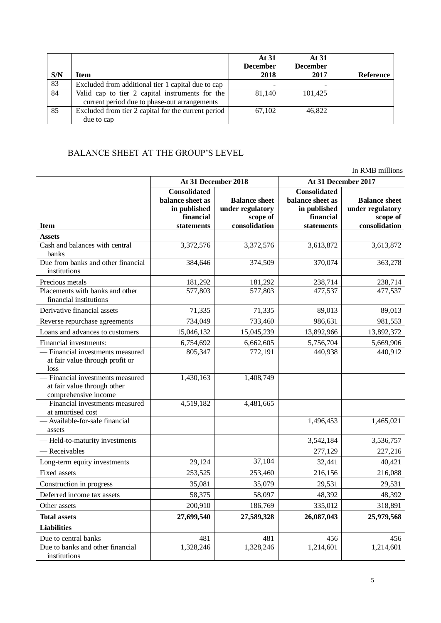| S/N | Item                                                | At 31<br><b>December</b><br>2018 | At 31<br><b>December</b><br>2017 | <b>Reference</b> |
|-----|-----------------------------------------------------|----------------------------------|----------------------------------|------------------|
| 83  | Excluded from additional tier 1 capital due to cap  |                                  |                                  |                  |
| 84  | Valid cap to tier 2 capital instruments for the     | 81,140                           | 101,425                          |                  |
|     | current period due to phase-out arrangements        |                                  |                                  |                  |
| 85  | Excluded from tier 2 capital for the current period | 67,102                           | 46,822                           |                  |
|     | due to cap                                          |                                  |                                  |                  |

## BALANCE SHEET AT THE GROUP'S LEVEL

In RMB millions

|                                                                                         | At 31 December 2018                                                  |                                                      | At 31 December 2017                                                  |                                                      |
|-----------------------------------------------------------------------------------------|----------------------------------------------------------------------|------------------------------------------------------|----------------------------------------------------------------------|------------------------------------------------------|
|                                                                                         | <b>Consolidated</b><br>balance sheet as<br>in published<br>financial | <b>Balance sheet</b><br>under regulatory<br>scope of | <b>Consolidated</b><br>balance sheet as<br>in published<br>financial | <b>Balance sheet</b><br>under regulatory<br>scope of |
| <b>Item</b>                                                                             | statements                                                           | consolidation                                        | statements                                                           | consolidation                                        |
| <b>Assets</b><br>Cash and balances with central                                         | 3,372,576                                                            | 3,372,576                                            | 3,613,872                                                            | 3,613,872                                            |
| banks                                                                                   |                                                                      |                                                      |                                                                      |                                                      |
| Due from banks and other financial<br>institutions                                      | 384,646                                                              | 374,509                                              | 370,074                                                              | 363,278                                              |
| Precious metals                                                                         | 181,292                                                              | 181,292                                              | 238,714                                                              | 238,714                                              |
| Placements with banks and other<br>financial institutions                               | 577,803                                                              | 577,803                                              | 477,537                                                              | 477,537                                              |
| Derivative financial assets                                                             | 71,335                                                               | 71,335                                               | 89,013                                                               | 89,013                                               |
| Reverse repurchase agreements                                                           | 734,049                                                              | 733,460                                              | 986,631                                                              | 981,553                                              |
| Loans and advances to customers                                                         | 15,046,132                                                           | 15,045,239                                           | 13,892,966                                                           | 13,892,372                                           |
| Financial investments:                                                                  | 6,754,692                                                            | 6,662,605                                            | 5,756,704                                                            | 5,669,906                                            |
| - Financial investments measured<br>at fair value through profit or<br>loss             | 805,347                                                              | 772,191                                              | 440,938                                                              | 440,912                                              |
| - Financial investments measured<br>at fair value through other<br>comprehensive income | 1,430,163                                                            | 1,408,749                                            |                                                                      |                                                      |
| - Financial investments measured<br>at amortised cost                                   | 4,519,182                                                            | 4,481,665                                            |                                                                      |                                                      |
| - Available-for-sale financial<br>assets                                                |                                                                      |                                                      | 1,496,453                                                            | 1,465,021                                            |
| - Held-to-maturity investments                                                          |                                                                      |                                                      | 3,542,184                                                            | 3,536,757                                            |
| - Receivables                                                                           |                                                                      |                                                      | 277,129                                                              | 227,216                                              |
| Long-term equity investments                                                            | 29,124                                                               | 37,104                                               | 32,441                                                               | 40,421                                               |
| <b>Fixed assets</b>                                                                     | 253,525                                                              | 253,460                                              | 216,156                                                              | 216,088                                              |
| Construction in progress                                                                | 35,081                                                               | 35,079                                               | 29,531                                                               | 29,531                                               |
| Deferred income tax assets                                                              | 58,375                                                               | 58,097                                               | 48,392                                                               | 48,392                                               |
| Other assets                                                                            | 200,910                                                              | 186,769                                              | 335,012                                                              | 318,891                                              |
| <b>Total assets</b>                                                                     | 27,699,540                                                           | 27,589,328                                           | 26,087,043                                                           | 25,979,568                                           |
| <b>Liabilities</b>                                                                      |                                                                      |                                                      |                                                                      |                                                      |
| Due to central banks                                                                    | 481                                                                  | 481                                                  | 456                                                                  | 456                                                  |
| Due to banks and other financial<br>institutions                                        | 1,328,246                                                            | 1,328,246                                            | 1,214,601                                                            | 1,214,601                                            |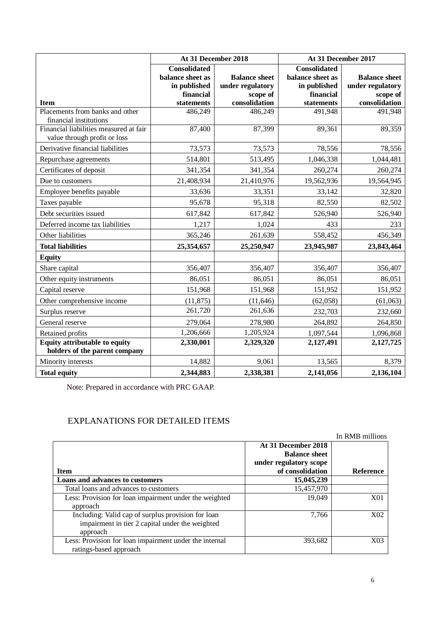|                                                                        | At 31 December 2018     |                           | At 31 December 2017     |                           |  |
|------------------------------------------------------------------------|-------------------------|---------------------------|-------------------------|---------------------------|--|
|                                                                        | <b>Consolidated</b>     |                           | <b>Consolidated</b>     |                           |  |
|                                                                        | balance sheet as        | <b>Balance sheet</b>      | balance sheet as        | <b>Balance sheet</b>      |  |
|                                                                        | in published            | under regulatory          | in published            | under regulatory          |  |
| <b>Item</b>                                                            | financial<br>statements | scope of<br>consolidation | financial<br>statements | scope of<br>consolidation |  |
| Placements from banks and other                                        | 486,249                 | 486,249                   | 491,948                 | 491,948                   |  |
| financial institutions                                                 |                         |                           |                         |                           |  |
| Financial liabilities measured at fair<br>value through profit or loss | 87,400                  | 87,399                    | 89,361                  | 89,359                    |  |
| Derivative financial liabilities                                       | 73,573                  | 73,573                    | 78,556                  | 78,556                    |  |
| Repurchase agreements                                                  | 514,801                 | 513,495                   | 1,046,338               | 1,044,481                 |  |
| Certificates of deposit                                                | 341,354                 | 341,354                   | 260,274                 | 260,274                   |  |
| Due to customers                                                       | 21,408,934              | 21,410,976                | 19,562,936              | 19,564,945                |  |
| Employee benefits payable                                              | 33,636                  | 33,351                    | 33,142                  | 32,820                    |  |
| Taxes payable                                                          | 95,678                  | 95,318                    | 82,550                  | 82,502                    |  |
| Debt securities issued                                                 | 617,842                 | 617,842                   | 526,940                 | 526,940                   |  |
| Deferred income tax liabilities                                        | 1,217                   | 1,024                     | 433                     | 233                       |  |
| Other liabilities                                                      | 365,246                 | 261,639                   | 558,452                 | 456,349                   |  |
| <b>Total liabilities</b>                                               | 25,354,657              | 25,250,947                | 23,945,987              | 23,843,464                |  |
| <b>Equity</b>                                                          |                         |                           |                         |                           |  |
| Share capital                                                          | 356,407                 | 356,407                   | 356,407                 | 356,407                   |  |
| Other equity instruments                                               | 86,051                  | 86,051                    | 86,051                  | 86,051                    |  |
| Capital reserve                                                        | 151,968                 | 151,968                   | 151,952                 | 151,952                   |  |
| Other comprehensive income                                             | (11, 875)               | (11, 646)                 | (62,058)                | (61,063)                  |  |
| Surplus reserve                                                        | 261,720                 | 261,636                   | 232,703                 | 232,660                   |  |
| General reserve                                                        | 279,064                 | 278,980                   | 264,892                 | 264,850                   |  |
| Retained profits                                                       | 1,206,666               | 1,205,924                 | 1,097,544               | 1,096,868                 |  |
| <b>Equity attributable to equity</b><br>holders of the parent company  | 2,330,001               | 2,329,320                 | 2,127,491               | 2,127,725                 |  |
| Minority interests                                                     | 14,882                  | 9,061                     | 13,565                  | 8,379                     |  |
| <b>Total equity</b>                                                    | 2,344,883               | 2,338,381                 | 2,141,056               | 2,136,104                 |  |

Note: Prepared in accordance with PRC GAAP.

# EXPLANATIONS FOR DETAILED ITEMS

|                                                        |                        | In RMB millions  |
|--------------------------------------------------------|------------------------|------------------|
|                                                        | At 31 December 2018    |                  |
|                                                        | <b>Balance sheet</b>   |                  |
|                                                        | under regulatory scope |                  |
| <b>Item</b>                                            | of consolidation       | <b>Reference</b> |
| Loans and advances to customers                        | 15,045,239             |                  |
| Total loans and advances to customers                  | 15,457,970             |                  |
| Less: Provision for loan impairment under the weighted | 19,049                 | X01              |
| approach                                               |                        |                  |
| Including: Valid cap of surplus provision for loan     | 7.766                  | X <sub>0</sub> 2 |
| impairment in tier 2 capital under the weighted        |                        |                  |
| approach                                               |                        |                  |
| Less: Provision for loan impairment under the internal | 393,682                | X03              |
| ratings-based approach                                 |                        |                  |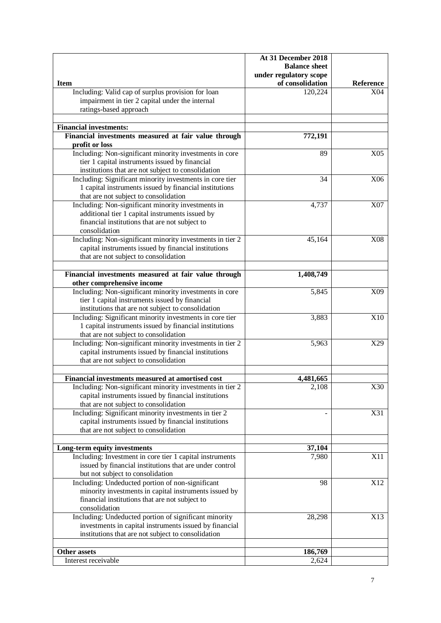|                                                                                    | At 31 December 2018         |                         |
|------------------------------------------------------------------------------------|-----------------------------|-------------------------|
|                                                                                    | <b>Balance sheet</b>        |                         |
|                                                                                    | under regulatory scope      |                         |
| <b>Item</b><br>Including: Valid cap of surplus provision for loan                  | of consolidation<br>120,224 | <b>Reference</b><br>X04 |
| impairment in tier 2 capital under the internal                                    |                             |                         |
| ratings-based approach                                                             |                             |                         |
|                                                                                    |                             |                         |
| <b>Financial investments:</b>                                                      |                             |                         |
| Financial investments measured at fair value through                               | 772,191                     |                         |
| profit or loss                                                                     |                             |                         |
| Including: Non-significant minority investments in core                            | 89                          | X <sub>05</sub>         |
| tier 1 capital instruments issued by financial                                     |                             |                         |
| institutions that are not subject to consolidation                                 |                             |                         |
| Including: Significant minority investments in core tier                           | 34                          | X06                     |
| 1 capital instruments issued by financial institutions                             |                             |                         |
| that are not subject to consolidation                                              |                             |                         |
| Including: Non-significant minority investments in                                 | 4,737                       | X07                     |
| additional tier 1 capital instruments issued by                                    |                             |                         |
| financial institutions that are not subject to                                     |                             |                         |
| consolidation                                                                      |                             |                         |
| Including: Non-significant minority investments in tier 2                          | 45,164                      | X08                     |
| capital instruments issued by financial institutions                               |                             |                         |
| that are not subject to consolidation                                              |                             |                         |
|                                                                                    |                             |                         |
| Financial investments measured at fair value through<br>other comprehensive income | 1,408,749                   |                         |
| Including: Non-significant minority investments in core                            | 5,845                       | X09                     |
| tier 1 capital instruments issued by financial                                     |                             |                         |
| institutions that are not subject to consolidation                                 |                             |                         |
| Including: Significant minority investments in core tier                           | 3,883                       | X10                     |
| 1 capital instruments issued by financial institutions                             |                             |                         |
| that are not subject to consolidation                                              |                             |                         |
| Including: Non-significant minority investments in tier 2                          | 5,963                       | X29                     |
| capital instruments issued by financial institutions                               |                             |                         |
| that are not subject to consolidation                                              |                             |                         |
| Financial investments measured at amortised cost                                   | 4,481,665                   |                         |
| Including: Non-significant minority investments in tier 2                          | 2,108                       | X30                     |
| capital instruments issued by financial institutions                               |                             |                         |
| that are not subject to consolidation                                              |                             |                         |
| Including: Significant minority investments in tier 2                              |                             | X31                     |
| capital instruments issued by financial institutions                               |                             |                         |
| that are not subject to consolidation                                              |                             |                         |
|                                                                                    |                             |                         |
| Long-term equity investments                                                       | 37,104                      |                         |
| Including: Investment in core tier 1 capital instruments                           | 7,980                       | X11                     |
| issued by financial institutions that are under control                            |                             |                         |
| but not subject to consolidation                                                   |                             |                         |
| Including: Undeducted portion of non-significant                                   | 98                          | X12                     |
| minority investments in capital instruments issued by                              |                             |                         |
| financial institutions that are not subject to<br>consolidation                    |                             |                         |
| Including: Undeducted portion of significant minority                              | 28,298                      | X13                     |
| investments in capital instruments issued by financial                             |                             |                         |
| institutions that are not subject to consolidation                                 |                             |                         |
|                                                                                    |                             |                         |
| <b>Other assets</b>                                                                | 186,769                     |                         |
| Interest receivable                                                                | 2,624                       |                         |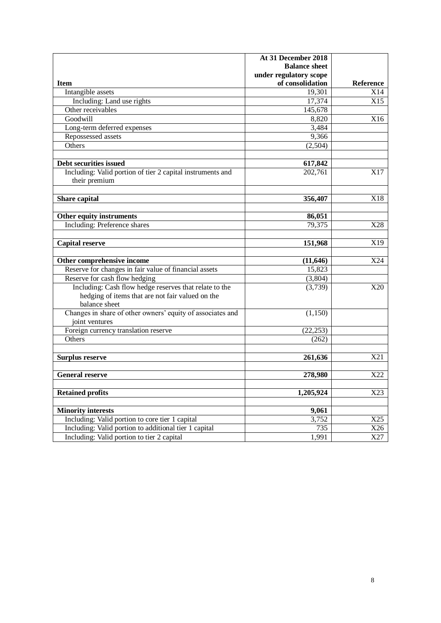|                                                            | At 31 December 2018    |                  |
|------------------------------------------------------------|------------------------|------------------|
|                                                            | <b>Balance sheet</b>   |                  |
|                                                            | under regulatory scope |                  |
| <b>Item</b>                                                | of consolidation       | <b>Reference</b> |
| Intangible assets                                          | 19,301                 | X14              |
| Including: Land use rights                                 | 17,374                 | X15              |
| Other receivables                                          | 145,678                |                  |
| Goodwill                                                   | 8,820                  | X16              |
| Long-term deferred expenses                                | 3,484                  |                  |
| Repossessed assets                                         | 9,366                  |                  |
| Others                                                     | (2,504)                |                  |
|                                                            |                        |                  |
| Debt securities issued                                     | 617,842                |                  |
| Including: Valid portion of tier 2 capital instruments and | 202,761                | X17              |
| their premium                                              |                        |                  |
|                                                            |                        |                  |
| Share capital                                              | 356,407                | X18              |
|                                                            |                        |                  |
| Other equity instruments                                   | 86,051                 |                  |
| <b>Including:</b> Preference shares                        | 79,375                 | X28              |
|                                                            |                        |                  |
| <b>Capital reserve</b>                                     | 151,968                | X19              |
|                                                            |                        |                  |
| Other comprehensive income                                 | (11, 646)              | X24              |
| Reserve for changes in fair value of financial assets      | 15,823                 |                  |
| Reserve for cash flow hedging                              | (3,804)                |                  |
| Including: Cash flow hedge reserves that relate to the     | (3,739)                | X20              |
| hedging of items that are not fair valued on the           |                        |                  |
| balance sheet                                              |                        |                  |
| Changes in share of other owners' equity of associates and | (1, 150)               |                  |
| joint ventures                                             |                        |                  |
| Foreign currency translation reserve                       | (22, 253)              |                  |
| Others                                                     | (262)                  |                  |
|                                                            |                        |                  |
| <b>Surplus reserve</b>                                     | 261,636                | X21              |
|                                                            |                        |                  |
| <b>General reserve</b>                                     | 278,980                | X22              |
|                                                            |                        |                  |
| <b>Retained profits</b>                                    | 1,205,924              | X23              |
|                                                            |                        |                  |
| <b>Minority interests</b>                                  | 9,061                  |                  |
| Including: Valid portion to core tier 1 capital            | 3,752                  | X25              |
| Including: Valid portion to additional tier 1 capital      | 735                    | X26              |
| Including: Valid portion to tier 2 capital                 | 1,991                  | X27              |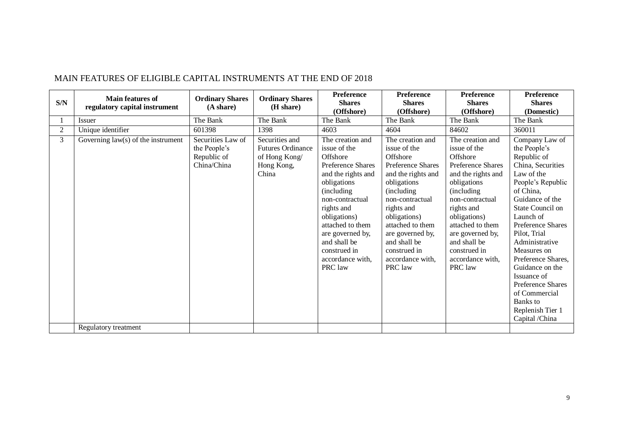|                | <b>Main features of</b>              | <b>Ordinary Shares</b>                                          | <b>Ordinary Shares</b>                                                             | <b>Preference</b>                                                                                                                                                                                                                                                             | <b>Preference</b>                                                                                                                                                                                                                                                                    | <b>Preference</b>                                                                                                                                                                                                                                                                    | <b>Preference</b>                                                                                                                                                                                                                                                                                                                                                                            |
|----------------|--------------------------------------|-----------------------------------------------------------------|------------------------------------------------------------------------------------|-------------------------------------------------------------------------------------------------------------------------------------------------------------------------------------------------------------------------------------------------------------------------------|--------------------------------------------------------------------------------------------------------------------------------------------------------------------------------------------------------------------------------------------------------------------------------------|--------------------------------------------------------------------------------------------------------------------------------------------------------------------------------------------------------------------------------------------------------------------------------------|----------------------------------------------------------------------------------------------------------------------------------------------------------------------------------------------------------------------------------------------------------------------------------------------------------------------------------------------------------------------------------------------|
| S/N            | regulatory capital instrument        | (A share)                                                       | (H share)                                                                          | <b>Shares</b>                                                                                                                                                                                                                                                                 | <b>Shares</b>                                                                                                                                                                                                                                                                        | <b>Shares</b>                                                                                                                                                                                                                                                                        | <b>Shares</b>                                                                                                                                                                                                                                                                                                                                                                                |
|                |                                      |                                                                 |                                                                                    | (Offshore)                                                                                                                                                                                                                                                                    | (Offshore)                                                                                                                                                                                                                                                                           | (Offshore)                                                                                                                                                                                                                                                                           | (Domestic)                                                                                                                                                                                                                                                                                                                                                                                   |
|                | Issuer                               | The Bank                                                        | The Bank                                                                           | The Bank                                                                                                                                                                                                                                                                      | The Bank                                                                                                                                                                                                                                                                             | The Bank                                                                                                                                                                                                                                                                             | The Bank                                                                                                                                                                                                                                                                                                                                                                                     |
| $\overline{2}$ | Unique identifier                    | 601398                                                          | 1398                                                                               | 4603                                                                                                                                                                                                                                                                          | 4604                                                                                                                                                                                                                                                                                 | 84602                                                                                                                                                                                                                                                                                | 360011                                                                                                                                                                                                                                                                                                                                                                                       |
| 3              | Governing $law(s)$ of the instrument | Securities Law of<br>the People's<br>Republic of<br>China/China | Securities and<br><b>Futures Ordinance</b><br>of Hong Kong/<br>Hong Kong,<br>China | The creation and<br>issue of the<br>Offshore<br>Preference Shares<br>and the rights and<br>obligations<br>(including)<br>non-contractual<br>rights and<br>obligations)<br>attached to them<br>are governed by,<br>and shall be<br>construed in<br>accordance with.<br>PRC law | The creation and<br>issue of the<br>Offshore<br><b>Preference Shares</b><br>and the rights and<br>obligations<br>(including)<br>non-contractual<br>rights and<br>obligations)<br>attached to them<br>are governed by,<br>and shall be<br>construed in<br>accordance with.<br>PRC law | The creation and<br>issue of the<br>Offshore<br><b>Preference Shares</b><br>and the rights and<br>obligations<br>(including)<br>non-contractual<br>rights and<br>obligations)<br>attached to them<br>are governed by,<br>and shall be<br>construed in<br>accordance with.<br>PRC law | Company Law of<br>the People's<br>Republic of<br>China, Securities<br>Law of the<br>People's Republic<br>of China,<br>Guidance of the<br>State Council on<br>Launch of<br>Preference Shares<br>Pilot, Trial<br>Administrative<br>Measures on<br>Preference Shares.<br>Guidance on the<br>Issuance of<br>Preference Shares<br>of Commercial<br>Banks to<br>Replenish Tier 1<br>Capital /China |
|                | Regulatory treatment                 |                                                                 |                                                                                    |                                                                                                                                                                                                                                                                               |                                                                                                                                                                                                                                                                                      |                                                                                                                                                                                                                                                                                      |                                                                                                                                                                                                                                                                                                                                                                                              |

### MAIN FEATURES OF ELIGIBLE CAPITAL INSTRUMENTS AT THE END OF 2018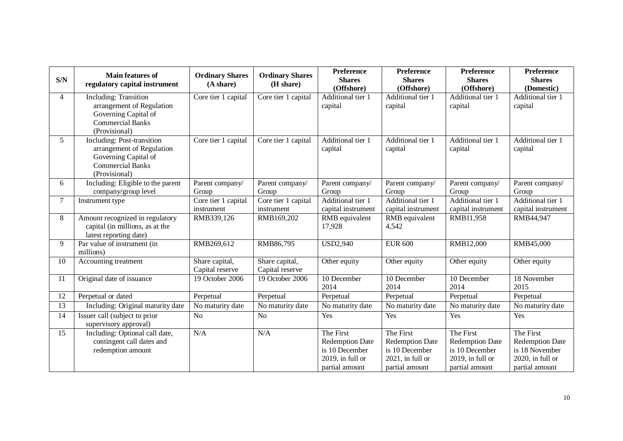| S/N             | <b>Main features of</b><br>regulatory capital instrument                                                                           | <b>Ordinary Shares</b><br>(A share) | <b>Ordinary Shares</b><br>(H share) | <b>Preference</b><br><b>Shares</b><br>(Offshore)                                            | <b>Preference</b><br><b>Shares</b><br>(Offshore)                                               | Preference<br><b>Shares</b><br>(Offshore)                                                   | Preference<br><b>Shares</b><br>(Domestic)                                                   |
|-----------------|------------------------------------------------------------------------------------------------------------------------------------|-------------------------------------|-------------------------------------|---------------------------------------------------------------------------------------------|------------------------------------------------------------------------------------------------|---------------------------------------------------------------------------------------------|---------------------------------------------------------------------------------------------|
| $\overline{4}$  | <b>Including: Transition</b><br>arrangement of Regulation<br>Governing Capital of<br><b>Commercial Banks</b><br>(Provisional)      | Core tier 1 capital                 | Core tier 1 capital                 | Additional tier 1<br>capital                                                                | Additional tier 1<br>capital                                                                   | Additional tier 1<br>capital                                                                | Additional tier 1<br>capital                                                                |
| 5               | <b>Including: Post-transition</b><br>arrangement of Regulation<br>Governing Capital of<br><b>Commercial Banks</b><br>(Provisional) | Core tier 1 capital                 | Core tier 1 capital                 | Additional tier 1<br>capital                                                                | Additional tier 1<br>capital                                                                   | Additional tier 1<br>capital                                                                | Additional tier 1<br>capital                                                                |
| 6               | Including: Eligible to the parent<br>company/group level                                                                           | Parent company/<br>Group            | Parent company/<br>Group            | Parent company/<br>Group                                                                    | Parent company/<br>Group                                                                       | Parent company/<br>Group                                                                    | Parent company/<br>Group                                                                    |
| 7               | Instrument type                                                                                                                    | Core tier 1 capital<br>instrument   | Core tier 1 capital<br>instrument   | Additional tier 1<br>capital instrument                                                     | Additional tier 1<br>capital instrument                                                        | Additional tier 1<br>capital instrument                                                     | Additional tier 1<br>capital instrument                                                     |
| 8               | Amount recognized in regulatory<br>capital (in millions, as at the<br>latest reporting date)                                       | RMB339,126                          | RMB169,202                          | RMB equivalent<br>17,928                                                                    | RMB equivalent<br>4,542                                                                        | RMB11,958                                                                                   | RMB44,947                                                                                   |
| 9               | Par value of instrument (in<br>millions)                                                                                           | RMB269,612                          | RMB86,795                           | <b>USD2,940</b>                                                                             | <b>EUR 600</b>                                                                                 | RMB12,000                                                                                   | RMB45,000                                                                                   |
| 10              | Accounting treatment                                                                                                               | Share capital,<br>Capital reserve   | Share capital,<br>Capital reserve   | Other equity                                                                                | Other equity                                                                                   | Other equity                                                                                | Other equity                                                                                |
| 11              | Original date of issuance                                                                                                          | 19 October 2006                     | 19 October 2006                     | 10 December<br>2014                                                                         | 10 December<br>2014                                                                            | 10 December<br>2014                                                                         | 18 November<br>2015                                                                         |
| 12              | Perpetual or dated                                                                                                                 | Perpetual                           | Perpetual                           | Perpetual                                                                                   | Perpetual                                                                                      | Perpetual                                                                                   | Perpetual                                                                                   |
| $\overline{13}$ | Including: Original maturity date                                                                                                  | No maturity date                    | No maturity date                    | No maturity date                                                                            | No maturity date                                                                               | No maturity date                                                                            | No maturity date                                                                            |
| 14              | Issuer call (subject to prior<br>supervisory approval)                                                                             | N <sub>o</sub>                      | N <sub>o</sub>                      | Yes                                                                                         | Yes                                                                                            | Yes                                                                                         | Yes                                                                                         |
| 15              | Including: Optional call date,<br>contingent call dates and<br>redemption amount                                                   | N/A                                 | N/A                                 | The First<br><b>Redemption Date</b><br>is 10 December<br>2019, in full or<br>partial amount | The First<br><b>Redemption Date</b><br>is 10 December<br>$2021$ , in full or<br>partial amount | The First<br><b>Redemption Date</b><br>is 10 December<br>2019, in full or<br>partial amount | The First<br><b>Redemption Date</b><br>is 18 November<br>2020, in full or<br>partial amount |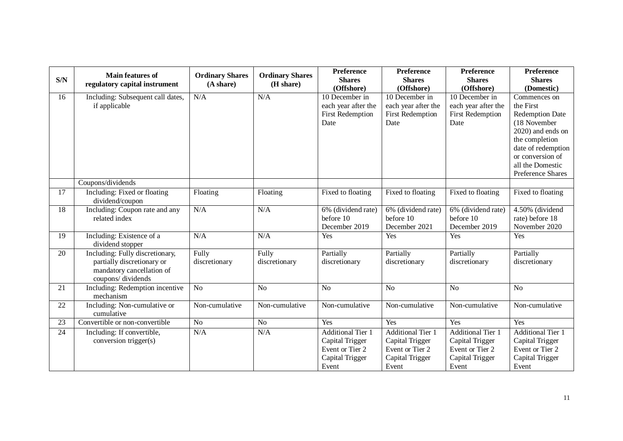| S/N | <b>Main features of</b><br>regulatory capital instrument                                                        | <b>Ordinary Shares</b><br>(A share) | <b>Ordinary Shares</b><br>(H share) | <b>Preference</b><br><b>Shares</b><br>(Offshore)                                           | Preference<br><b>Shares</b><br>(Offshore)                                                  | Preference<br><b>Shares</b><br>(Offshore)                                                  | Preference<br><b>Shares</b><br>(Domestic)                                                                                                                                                     |
|-----|-----------------------------------------------------------------------------------------------------------------|-------------------------------------|-------------------------------------|--------------------------------------------------------------------------------------------|--------------------------------------------------------------------------------------------|--------------------------------------------------------------------------------------------|-----------------------------------------------------------------------------------------------------------------------------------------------------------------------------------------------|
| 16  | Including: Subsequent call dates,<br>if applicable                                                              | N/A                                 | N/A                                 | 10 December in<br>each year after the<br><b>First Redemption</b><br>Date                   | 10 December in<br>each year after the<br><b>First Redemption</b><br>Date                   | 10 December in<br>each year after the<br><b>First Redemption</b><br>Date                   | Commences on<br>the First<br><b>Redemption Date</b><br>(18 November<br>2020) and ends on<br>the completion<br>date of redemption<br>or conversion of<br>all the Domestic<br>Preference Shares |
|     | Coupons/dividends                                                                                               |                                     |                                     |                                                                                            |                                                                                            |                                                                                            |                                                                                                                                                                                               |
| 17  | Including: Fixed or floating<br>dividend/coupon                                                                 | Floating                            | Floating                            | Fixed to floating                                                                          | Fixed to floating                                                                          | Fixed to floating                                                                          | Fixed to floating                                                                                                                                                                             |
| 18  | Including: Coupon rate and any<br>related index                                                                 | N/A                                 | N/A                                 | 6% (dividend rate)<br>before 10<br>December 2019                                           | 6% (dividend rate)<br>before 10<br>December 2021                                           | $\overline{6\%}$ (dividend rate)<br>before 10<br>December 2019                             | 4.50% (dividend<br>rate) before 18<br>November 2020                                                                                                                                           |
| 19  | Including: Existence of a<br>dividend stopper                                                                   | N/A                                 | N/A                                 | Yes                                                                                        | Yes                                                                                        | Yes                                                                                        | Yes                                                                                                                                                                                           |
| 20  | Including: Fully discretionary,<br>partially discretionary or<br>mandatory cancellation of<br>coupons/dividends | Fully<br>discretionary              | Fully<br>discretionary              | Partially<br>discretionary                                                                 | Partially<br>discretionary                                                                 | Partially<br>discretionary                                                                 | Partially<br>discretionary                                                                                                                                                                    |
| 21  | Including: Redemption incentive<br>mechanism                                                                    | N <sub>o</sub>                      | N <sub>o</sub>                      | N <sub>o</sub>                                                                             | N <sub>o</sub>                                                                             | N <sub>o</sub>                                                                             | N <sub>o</sub>                                                                                                                                                                                |
| 22  | Including: Non-cumulative or<br>cumulative                                                                      | Non-cumulative                      | Non-cumulative                      | Non-cumulative                                                                             | Non-cumulative                                                                             | Non-cumulative                                                                             | Non-cumulative                                                                                                                                                                                |
| 23  | Convertible or non-convertible                                                                                  | No                                  | N <sub>o</sub>                      | Yes                                                                                        | Yes                                                                                        | Yes                                                                                        | Yes                                                                                                                                                                                           |
| 24  | Including: If convertible,<br>conversion trigger(s)                                                             | N/A                                 | N/A                                 | <b>Additional Tier 1</b><br>Capital Trigger<br>Event or Tier 2<br>Capital Trigger<br>Event | <b>Additional Tier 1</b><br>Capital Trigger<br>Event or Tier 2<br>Capital Trigger<br>Event | <b>Additional Tier 1</b><br>Capital Trigger<br>Event or Tier 2<br>Capital Trigger<br>Event | <b>Additional Tier 1</b><br>Capital Trigger<br>Event or Tier 2<br>Capital Trigger<br>Event                                                                                                    |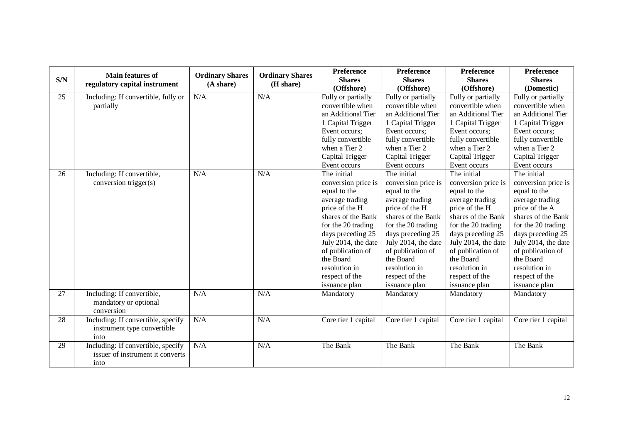| S/N | <b>Main features of</b><br>regulatory capital instrument                       | <b>Ordinary Shares</b><br>(A share) | <b>Ordinary Shares</b><br>(H share) | Preference<br><b>Shares</b><br>(Offshore)                                                                                                                                                                                                                             | Preference<br><b>Shares</b><br>(Offshore)                                                                                                                                                                                                                             | Preference<br><b>Shares</b><br>(Offshore)                                                                                                                                                                                                                             | Preference<br><b>Shares</b><br>(Domestic)                                                                                                                                                                                                                             |
|-----|--------------------------------------------------------------------------------|-------------------------------------|-------------------------------------|-----------------------------------------------------------------------------------------------------------------------------------------------------------------------------------------------------------------------------------------------------------------------|-----------------------------------------------------------------------------------------------------------------------------------------------------------------------------------------------------------------------------------------------------------------------|-----------------------------------------------------------------------------------------------------------------------------------------------------------------------------------------------------------------------------------------------------------------------|-----------------------------------------------------------------------------------------------------------------------------------------------------------------------------------------------------------------------------------------------------------------------|
| 25  | Including: If convertible, fully or<br>partially                               | N/A                                 | N/A                                 | Fully or partially<br>convertible when<br>an Additional Tier<br>1 Capital Trigger<br>Event occurs;<br>fully convertible<br>when a Tier 2<br>Capital Trigger<br>Event occurs                                                                                           | Fully or partially<br>convertible when<br>an Additional Tier<br>1 Capital Trigger<br>Event occurs;<br>fully convertible<br>when a Tier 2<br>Capital Trigger<br>Event occurs                                                                                           | Fully or partially<br>convertible when<br>an Additional Tier<br>1 Capital Trigger<br>Event occurs;<br>fully convertible<br>when a Tier 2<br>Capital Trigger<br>Event occurs                                                                                           | Fully or partially<br>convertible when<br>an Additional Tier<br>1 Capital Trigger<br>Event occurs;<br>fully convertible<br>when a Tier 2<br>Capital Trigger<br>Event occurs                                                                                           |
| 26  | Including: If convertible,<br>conversion trigger(s)                            | N/A                                 | N/A                                 | The initial<br>conversion price is<br>equal to the<br>average trading<br>price of the H<br>shares of the Bank<br>for the 20 trading<br>days preceding 25<br>July 2014, the date<br>of publication of<br>the Board<br>resolution in<br>respect of the<br>issuance plan | The initial<br>conversion price is<br>equal to the<br>average trading<br>price of the H<br>shares of the Bank<br>for the 20 trading<br>days preceding 25<br>July 2014, the date<br>of publication of<br>the Board<br>resolution in<br>respect of the<br>issuance plan | The initial<br>conversion price is<br>equal to the<br>average trading<br>price of the H<br>shares of the Bank<br>for the 20 trading<br>days preceding 25<br>July 2014, the date<br>of publication of<br>the Board<br>resolution in<br>respect of the<br>issuance plan | The initial<br>conversion price is<br>equal to the<br>average trading<br>price of the A<br>shares of the Bank<br>for the 20 trading<br>days preceding 25<br>July 2014, the date<br>of publication of<br>the Board<br>resolution in<br>respect of the<br>issuance plan |
| 27  | Including: If convertible,<br>mandatory or optional<br>conversion              | N/A                                 | N/A                                 | Mandatory                                                                                                                                                                                                                                                             | Mandatory                                                                                                                                                                                                                                                             | Mandatory                                                                                                                                                                                                                                                             | Mandatory                                                                                                                                                                                                                                                             |
| 28  | Including: If convertible, specify<br>instrument type convertible<br>into      | N/A                                 | N/A                                 | Core tier 1 capital                                                                                                                                                                                                                                                   | Core tier 1 capital                                                                                                                                                                                                                                                   | Core tier 1 capital                                                                                                                                                                                                                                                   | Core tier 1 capital                                                                                                                                                                                                                                                   |
| 29  | Including: If convertible, specify<br>issuer of instrument it converts<br>into | N/A                                 | N/A                                 | The Bank                                                                                                                                                                                                                                                              | The Bank                                                                                                                                                                                                                                                              | The Bank                                                                                                                                                                                                                                                              | The Bank                                                                                                                                                                                                                                                              |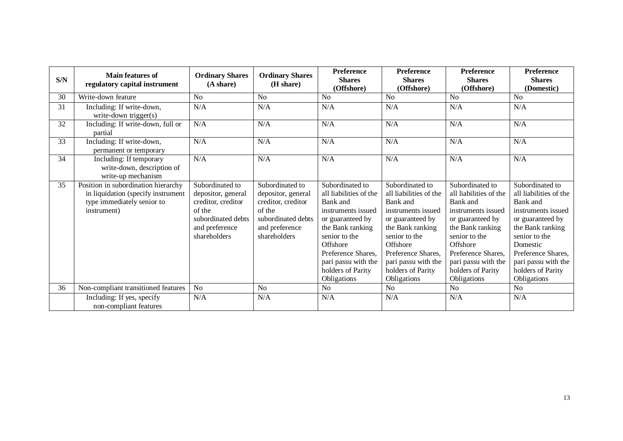| $\mathbf{S/N}$ | <b>Main features of</b><br>regulatory capital instrument                                                               | <b>Ordinary Shares</b><br>(A share)                                                                                           | <b>Ordinary Shares</b><br>(H share)                                                                                           | <b>Preference</b><br><b>Shares</b><br>(Offshore)                                                                                                                                                                                  | <b>Preference</b><br><b>Shares</b><br>(Offshore)                                                                                                                                                                                  | <b>Preference</b><br><b>Shares</b><br>(Offshore)                                                                                                                                                                                  | Preference<br><b>Shares</b><br>(Domestic)                                                                                                                                                                                         |
|----------------|------------------------------------------------------------------------------------------------------------------------|-------------------------------------------------------------------------------------------------------------------------------|-------------------------------------------------------------------------------------------------------------------------------|-----------------------------------------------------------------------------------------------------------------------------------------------------------------------------------------------------------------------------------|-----------------------------------------------------------------------------------------------------------------------------------------------------------------------------------------------------------------------------------|-----------------------------------------------------------------------------------------------------------------------------------------------------------------------------------------------------------------------------------|-----------------------------------------------------------------------------------------------------------------------------------------------------------------------------------------------------------------------------------|
| 30             | Write-down feature                                                                                                     | No                                                                                                                            | N <sub>0</sub>                                                                                                                | N <sub>0</sub>                                                                                                                                                                                                                    | N <sub>0</sub>                                                                                                                                                                                                                    | No                                                                                                                                                                                                                                | <b>No</b>                                                                                                                                                                                                                         |
| 31             | Including: If write-down,<br>write-down trigger $(s)$                                                                  | N/A                                                                                                                           | N/A                                                                                                                           | N/A                                                                                                                                                                                                                               | N/A                                                                                                                                                                                                                               | N/A                                                                                                                                                                                                                               | N/A                                                                                                                                                                                                                               |
| 32             | Including: If write-down, full or<br>partial                                                                           | N/A                                                                                                                           | N/A                                                                                                                           | N/A                                                                                                                                                                                                                               | N/A                                                                                                                                                                                                                               | N/A                                                                                                                                                                                                                               | N/A                                                                                                                                                                                                                               |
| 33             | Including: If write-down,<br>permanent or temporary                                                                    | N/A                                                                                                                           | N/A                                                                                                                           | N/A                                                                                                                                                                                                                               | N/A                                                                                                                                                                                                                               | N/A                                                                                                                                                                                                                               | N/A                                                                                                                                                                                                                               |
| 34             | Including: If temporary<br>write-down, description of<br>write-up mechanism                                            | N/A                                                                                                                           | N/A                                                                                                                           | N/A                                                                                                                                                                                                                               | N/A                                                                                                                                                                                                                               | N/A                                                                                                                                                                                                                               | N/A                                                                                                                                                                                                                               |
| 35             | Position in subordination hierarchy<br>in liquidation (specify instrument<br>type immediately senior to<br>instrument) | Subordinated to<br>depositor, general<br>creditor, creditor<br>of the<br>subordinated debts<br>and preference<br>shareholders | Subordinated to<br>depositor, general<br>creditor, creditor<br>of the<br>subordinated debts<br>and preference<br>shareholders | Subordinated to<br>all liabilities of the<br>Bank and<br>instruments issued<br>or guaranteed by<br>the Bank ranking<br>senior to the<br>Offshore<br>Preference Shares.<br>pari passu with the<br>holders of Parity<br>Obligations | Subordinated to<br>all liabilities of the<br>Bank and<br>instruments issued<br>or guaranteed by<br>the Bank ranking<br>senior to the<br>Offshore<br>Preference Shares,<br>pari passu with the<br>holders of Parity<br>Obligations | Subordinated to<br>all liabilities of the<br>Bank and<br>instruments issued<br>or guaranteed by<br>the Bank ranking<br>senior to the<br>Offshore<br>Preference Shares,<br>pari passu with the<br>holders of Parity<br>Obligations | Subordinated to<br>all liabilities of the<br>Bank and<br>instruments issued<br>or guaranteed by<br>the Bank ranking<br>senior to the<br>Domestic<br>Preference Shares,<br>pari passu with the<br>holders of Parity<br>Obligations |
| 36             | Non-compliant transitioned features                                                                                    | N <sub>o</sub>                                                                                                                | N <sub>o</sub>                                                                                                                | N <sub>o</sub>                                                                                                                                                                                                                    | N <sub>o</sub>                                                                                                                                                                                                                    | N <sub>o</sub>                                                                                                                                                                                                                    | N <sub>o</sub>                                                                                                                                                                                                                    |
|                | Including: If yes, specify<br>non-compliant features                                                                   | N/A                                                                                                                           | N/A                                                                                                                           | N/A                                                                                                                                                                                                                               | N/A                                                                                                                                                                                                                               | N/A                                                                                                                                                                                                                               | N/A                                                                                                                                                                                                                               |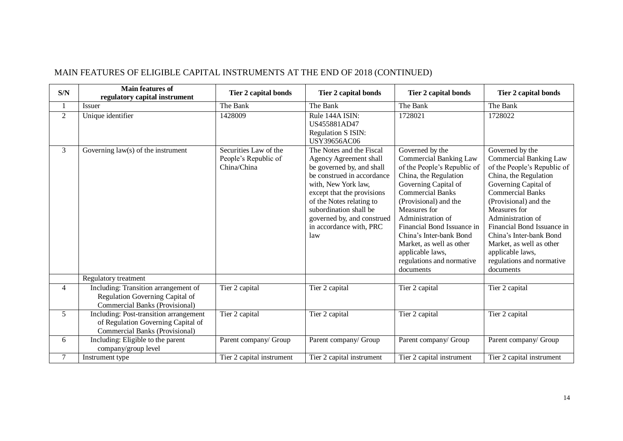| S/N            | Main features of<br>regulatory capital instrument                                                                     | Tier 2 capital bonds                                         | <b>Tier 2 capital bonds</b>                                                                                                                                                                                                                                                                     | Tier 2 capital bonds                                                                                                                                                                                                                                                                                                                                                         | <b>Tier 2 capital bonds</b>                                                                                                                                                                                                                                                                                                                                                  |
|----------------|-----------------------------------------------------------------------------------------------------------------------|--------------------------------------------------------------|-------------------------------------------------------------------------------------------------------------------------------------------------------------------------------------------------------------------------------------------------------------------------------------------------|------------------------------------------------------------------------------------------------------------------------------------------------------------------------------------------------------------------------------------------------------------------------------------------------------------------------------------------------------------------------------|------------------------------------------------------------------------------------------------------------------------------------------------------------------------------------------------------------------------------------------------------------------------------------------------------------------------------------------------------------------------------|
|                | <b>Issuer</b>                                                                                                         | The Bank                                                     | The Bank                                                                                                                                                                                                                                                                                        | The Bank                                                                                                                                                                                                                                                                                                                                                                     | The Bank                                                                                                                                                                                                                                                                                                                                                                     |
| $\overline{2}$ | Unique identifier                                                                                                     | 1428009                                                      | Rule 144A ISIN:<br>US455881AD47<br><b>Regulation S ISIN:</b><br><b>USY39656AC06</b>                                                                                                                                                                                                             | 1728021                                                                                                                                                                                                                                                                                                                                                                      | 1728022                                                                                                                                                                                                                                                                                                                                                                      |
| 3              | Governing $law(s)$ of the instrument                                                                                  | Securities Law of the<br>People's Republic of<br>China/China | The Notes and the Fiscal<br><b>Agency Agreement shall</b><br>be governed by, and shall<br>be construed in accordance<br>with, New York law,<br>except that the provisions<br>of the Notes relating to<br>subordination shall be<br>governed by, and construed<br>in accordance with, PRC<br>law | Governed by the<br><b>Commercial Banking Law</b><br>of the People's Republic of<br>China, the Regulation<br>Governing Capital of<br><b>Commercial Banks</b><br>(Provisional) and the<br>Measures for<br>Administration of<br>Financial Bond Issuance in<br>China's Inter-bank Bond<br>Market, as well as other<br>applicable laws,<br>regulations and normative<br>documents | Governed by the<br><b>Commercial Banking Law</b><br>of the People's Republic of<br>China, the Regulation<br>Governing Capital of<br><b>Commercial Banks</b><br>(Provisional) and the<br>Measures for<br>Administration of<br>Financial Bond Issuance in<br>China's Inter-bank Bond<br>Market, as well as other<br>applicable laws,<br>regulations and normative<br>documents |
|                | Regulatory treatment                                                                                                  |                                                              |                                                                                                                                                                                                                                                                                                 |                                                                                                                                                                                                                                                                                                                                                                              |                                                                                                                                                                                                                                                                                                                                                                              |
| 4              | Including: Transition arrangement of<br>Regulation Governing Capital of<br>Commercial Banks (Provisional)             | Tier 2 capital                                               | Tier 2 capital                                                                                                                                                                                                                                                                                  | Tier 2 capital                                                                                                                                                                                                                                                                                                                                                               | Tier 2 capital                                                                                                                                                                                                                                                                                                                                                               |
| 5              | Including: Post-transition arrangement<br>of Regulation Governing Capital of<br><b>Commercial Banks (Provisional)</b> | Tier 2 capital                                               | Tier 2 capital                                                                                                                                                                                                                                                                                  | Tier 2 capital                                                                                                                                                                                                                                                                                                                                                               | Tier 2 capital                                                                                                                                                                                                                                                                                                                                                               |
| 6              | Including: Eligible to the parent<br>company/group level                                                              | Parent company/ Group                                        | Parent company/ Group                                                                                                                                                                                                                                                                           | Parent company/ Group                                                                                                                                                                                                                                                                                                                                                        | Parent company/ Group                                                                                                                                                                                                                                                                                                                                                        |
| $\tau$         | Instrument type                                                                                                       | Tier 2 capital instrument                                    | Tier 2 capital instrument                                                                                                                                                                                                                                                                       | Tier 2 capital instrument                                                                                                                                                                                                                                                                                                                                                    | Tier 2 capital instrument                                                                                                                                                                                                                                                                                                                                                    |

### MAIN FEATURES OF ELIGIBLE CAPITAL INSTRUMENTS AT THE END OF 2018 (CONTINUED)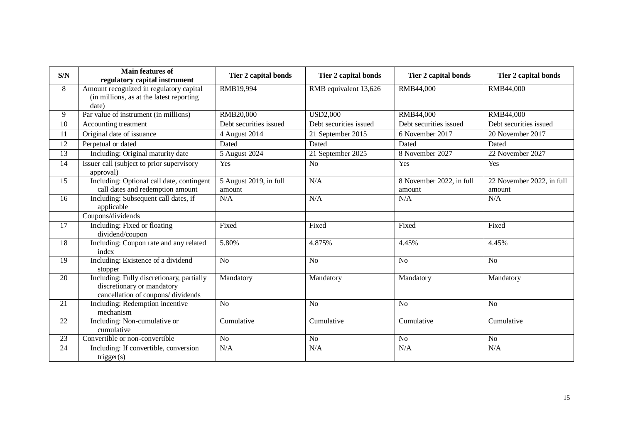| S/N             | <b>Main features of</b><br>regulatory capital instrument                                                     | Tier 2 capital bonds             | Tier 2 capital bonds   | <b>Tier 2 capital bonds</b>        | Tier 2 capital bonds                |
|-----------------|--------------------------------------------------------------------------------------------------------------|----------------------------------|------------------------|------------------------------------|-------------------------------------|
| 8               | Amount recognized in regulatory capital<br>(in millions, as at the latest reporting<br>date)                 | RMB19,994                        | RMB equivalent 13,626  | RMB44,000                          | RMB44,000                           |
| 9               | Par value of instrument (in millions)                                                                        | RMB20,000                        | <b>USD2,000</b>        | RMB44,000                          | RMB44,000                           |
| 10              | Accounting treatment                                                                                         | Debt securities issued           | Debt securities issued | Debt securities issued             | Debt securities issued              |
| 11              | Original date of issuance                                                                                    | 4 August 2014                    | 21 September 2015      | 6 November 2017                    | 20 November 2017                    |
| $\overline{12}$ | Perpetual or dated                                                                                           | Dated                            | Dated                  | Dated                              | Dated                               |
| 13              | Including: Original maturity date                                                                            | 5 August 2024                    | 21 September 2025      | 8 November 2027                    | 22 November 2027                    |
| 14              | Issuer call (subject to prior supervisory<br>approval)                                                       | Yes                              | N <sub>o</sub>         | Yes                                | Yes                                 |
| 15              | Including: Optional call date, contingent<br>call dates and redemption amount                                | 5 August 2019, in full<br>amount | N/A                    | 8 November 2022, in full<br>amount | 22 November 2022, in full<br>amount |
| 16              | Including: Subsequent call dates, if<br>applicable                                                           | N/A                              | N/A                    | N/A                                | N/A                                 |
|                 | Coupons/dividends                                                                                            |                                  |                        |                                    |                                     |
| 17              | Including: Fixed or floating<br>dividend/coupon                                                              | Fixed                            | Fixed                  | Fixed                              | Fixed                               |
| 18              | Including: Coupon rate and any related<br>index                                                              | 5.80%                            | 4.875%                 | 4.45%                              | 4.45%                               |
| 19              | Including: Existence of a dividend<br>stopper                                                                | N <sub>o</sub>                   | N <sub>o</sub>         | N <sub>o</sub>                     | N <sub>o</sub>                      |
| 20              | Including: Fully discretionary, partially<br>discretionary or mandatory<br>cancellation of coupons/dividends | Mandatory                        | Mandatory              | Mandatory                          | Mandatory                           |
| 21              | Including: Redemption incentive<br>mechanism                                                                 | N <sub>o</sub>                   | N <sub>o</sub>         | N <sub>o</sub>                     | N <sub>o</sub>                      |
| 22              | Including: Non-cumulative or<br>cumulative                                                                   | Cumulative                       | Cumulative             | Cumulative                         | Cumulative                          |
| 23              | Convertible or non-convertible                                                                               | $\overline{No}$                  | N <sub>o</sub>         | No                                 | No                                  |
| 24              | Including: If convertible, conversion<br>trigger(s)                                                          | N/A                              | N/A                    | N/A                                | N/A                                 |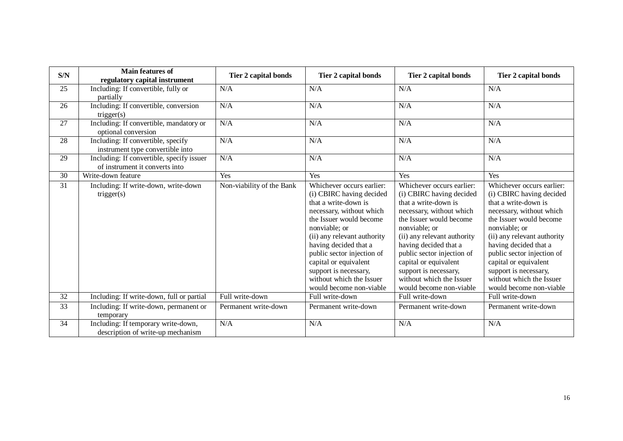| S/N             | <b>Main features of</b><br>regulatory capital instrument                    | Tier 2 capital bonds      | Tier 2 capital bonds                                                                                                                                                                                                                                                                                                                                 | Tier 2 capital bonds                                                                                                                                                                                                                                                                                                                                 | Tier 2 capital bonds                                                                                                                                                                                                                                                                                                                                 |
|-----------------|-----------------------------------------------------------------------------|---------------------------|------------------------------------------------------------------------------------------------------------------------------------------------------------------------------------------------------------------------------------------------------------------------------------------------------------------------------------------------------|------------------------------------------------------------------------------------------------------------------------------------------------------------------------------------------------------------------------------------------------------------------------------------------------------------------------------------------------------|------------------------------------------------------------------------------------------------------------------------------------------------------------------------------------------------------------------------------------------------------------------------------------------------------------------------------------------------------|
| 25              | Including: If convertible, fully or<br>partially                            | N/A                       | N/A                                                                                                                                                                                                                                                                                                                                                  | N/A                                                                                                                                                                                                                                                                                                                                                  | N/A                                                                                                                                                                                                                                                                                                                                                  |
| 26              | Including: If convertible, conversion<br>trigger(s)                         | N/A                       | N/A                                                                                                                                                                                                                                                                                                                                                  | N/A                                                                                                                                                                                                                                                                                                                                                  | N/A                                                                                                                                                                                                                                                                                                                                                  |
| 27              | Including: If convertible, mandatory or<br>optional conversion              | N/A                       | N/A                                                                                                                                                                                                                                                                                                                                                  | N/A                                                                                                                                                                                                                                                                                                                                                  | N/A                                                                                                                                                                                                                                                                                                                                                  |
| 28              | Including: If convertible, specify<br>instrument type convertible into      | N/A                       | N/A                                                                                                                                                                                                                                                                                                                                                  | N/A                                                                                                                                                                                                                                                                                                                                                  | N/A                                                                                                                                                                                                                                                                                                                                                  |
| 29              | Including: If convertible, specify issuer<br>of instrument it converts into | N/A                       | N/A                                                                                                                                                                                                                                                                                                                                                  | N/A                                                                                                                                                                                                                                                                                                                                                  | N/A                                                                                                                                                                                                                                                                                                                                                  |
| 30              | Write-down feature                                                          | Yes                       | Yes                                                                                                                                                                                                                                                                                                                                                  | Yes                                                                                                                                                                                                                                                                                                                                                  | Yes                                                                                                                                                                                                                                                                                                                                                  |
| 31              | Including: If write-down, write-down<br>trigger(s)                          | Non-viability of the Bank | Whichever occurs earlier:<br>(i) CBIRC having decided<br>that a write-down is<br>necessary, without which<br>the Issuer would become<br>nonviable; or<br>(ii) any relevant authority<br>having decided that a<br>public sector injection of<br>capital or equivalent<br>support is necessary,<br>without which the Issuer<br>would become non-viable | Whichever occurs earlier:<br>(i) CBIRC having decided<br>that a write-down is<br>necessary, without which<br>the Issuer would become<br>nonviable; or<br>(ii) any relevant authority<br>having decided that a<br>public sector injection of<br>capital or equivalent<br>support is necessary,<br>without which the Issuer<br>would become non-viable | Whichever occurs earlier:<br>(i) CBIRC having decided<br>that a write-down is<br>necessary, without which<br>the Issuer would become<br>nonviable; or<br>(ii) any relevant authority<br>having decided that a<br>public sector injection of<br>capital or equivalent<br>support is necessary,<br>without which the Issuer<br>would become non-viable |
| $\overline{32}$ | Including: If write-down, full or partial                                   | Full write-down           | Full write-down                                                                                                                                                                                                                                                                                                                                      | Full write-down                                                                                                                                                                                                                                                                                                                                      | Full write-down                                                                                                                                                                                                                                                                                                                                      |
| 33              | Including: If write-down, permanent or<br>temporary                         | Permanent write-down      | Permanent write-down                                                                                                                                                                                                                                                                                                                                 | Permanent write-down                                                                                                                                                                                                                                                                                                                                 | Permanent write-down                                                                                                                                                                                                                                                                                                                                 |
| 34              | Including: If temporary write-down,<br>description of write-up mechanism    | N/A                       | N/A                                                                                                                                                                                                                                                                                                                                                  | N/A                                                                                                                                                                                                                                                                                                                                                  | N/A                                                                                                                                                                                                                                                                                                                                                  |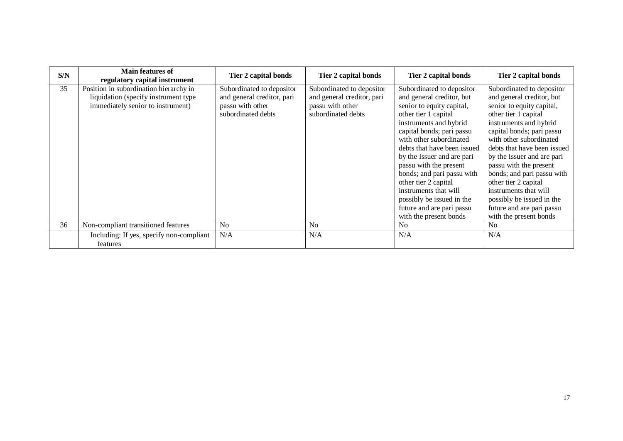| S/N | <b>Main features of</b><br>regulatory capital instrument | Tier 2 capital bonds       | Tier 2 capital bonds       | Tier 2 capital bonds        | Tier 2 capital bonds        |
|-----|----------------------------------------------------------|----------------------------|----------------------------|-----------------------------|-----------------------------|
| 35  | Position in subordination hierarchy in                   | Subordinated to depositor  | Subordinated to depositor  | Subordinated to depositor   | Subordinated to depositor   |
|     | liquidation (specify instrument type)                    | and general creditor, pari | and general creditor, pari | and general creditor, but   | and general creditor, but   |
|     | immediately senior to instrument)                        | passu with other           | passu with other           | senior to equity capital,   | senior to equity capital,   |
|     |                                                          | subordinated debts         | subordinated debts         | other tier 1 capital        | other tier 1 capital        |
|     |                                                          |                            |                            | instruments and hybrid      | instruments and hybrid      |
|     |                                                          |                            |                            | capital bonds; pari passu   | capital bonds; pari passu   |
|     |                                                          |                            |                            | with other subordinated     | with other subordinated     |
|     |                                                          |                            |                            | debts that have been issued | debts that have been issued |
|     |                                                          |                            |                            | by the Issuer and are pari  | by the Issuer and are pari  |
|     |                                                          |                            |                            | passu with the present      | passu with the present      |
|     |                                                          |                            |                            | bonds; and pari passu with  | bonds; and pari passu with  |
|     |                                                          |                            |                            | other tier 2 capital        | other tier 2 capital        |
|     |                                                          |                            |                            | instruments that will       | instruments that will       |
|     |                                                          |                            |                            | possibly be issued in the   | possibly be issued in the   |
|     |                                                          |                            |                            | future and are pari passu   | future and are pari passu   |
|     |                                                          |                            |                            | with the present bonds      | with the present bonds      |
| 36  | Non-compliant transitioned features                      | N <sub>o</sub>             | N <sub>0</sub>             | No.                         | N <sub>o</sub>              |
|     | Including: If yes, specify non-compliant<br>features     | N/A                        | N/A                        | N/A                         | N/A                         |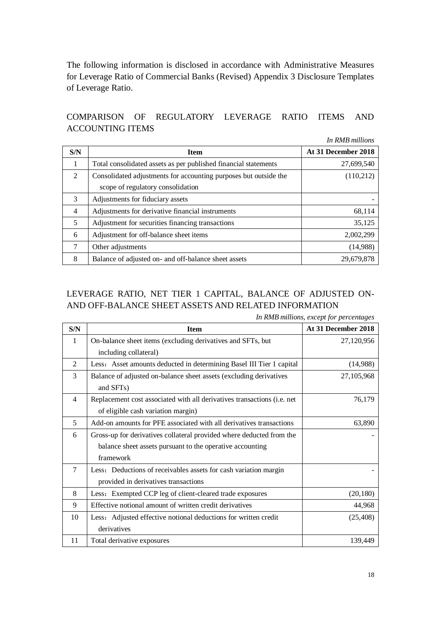The following information is disclosed in accordance with Administrative Measures for Leverage Ratio of Commercial Banks (Revised) Appendix 3 Disclosure Templates of Leverage Ratio.

### COMPARISON OF REGULATORY LEVERAGE RATIO ITEMS AND ACCOUNTING ITEMS

*In RMB millions* **S/N Ifem Item At 31 December 2018** 1 Total consolidated assets as per published financial statements 27,699,540 2 Consolidated adjustments for accounting purposes but outside the scope of regulatory consolidation (110,212) 3 Adjustments for fiduciary assets 4 Adjustments for derivative financial instruments 68,114 5 Adjustment for securities financing transactions 35,125 6 Adjustment for off-balance sheet items 2,002,299

# LEVERAGE RATIO, NET TIER 1 CAPITAL, BALANCE OF ADJUSTED ON-AND OFF-BALANCE SHEET ASSETS AND RELATED INFORMATION

7 Other adjustments (14,988) 8 Balance of adjusted on- and off-balance sheet assets 29,679,878

| In RMB millions, except for percentages |  |
|-----------------------------------------|--|
|-----------------------------------------|--|

| S/N            | <b>Item</b>                                                             | At 31 December 2018 |
|----------------|-------------------------------------------------------------------------|---------------------|
| 1              | On-balance sheet items (excluding derivatives and SFTs, but             | 27,120,956          |
|                | including collateral)                                                   |                     |
| $\mathfrak{D}$ | Less: Asset amounts deducted in determining Basel III Tier 1 capital    | (14,988)            |
| 3              | Balance of adjusted on-balance sheet assets (excluding derivatives      | 27,105,968          |
|                | and SFTs)                                                               |                     |
| 4              | Replacement cost associated with all derivatives transactions (i.e. net | 76,179              |
|                | of eligible cash variation margin)                                      |                     |
| 5              | Add-on amounts for PFE associated with all derivatives transactions     | 63,890              |
| 6              | Gross-up for derivatives collateral provided where deducted from the    |                     |
|                | balance sheet assets pursuant to the operative accounting               |                     |
|                | framework                                                               |                     |
| $\tau$         | Less: Deductions of receivables assets for cash variation margin        |                     |
|                | provided in derivatives transactions                                    |                     |
| 8              | Less: Exempted CCP leg of client-cleared trade exposures                | (20, 180)           |
| 9              | Effective notional amount of written credit derivatives                 | 44,968              |
| 10             | Less: Adjusted effective notional deductions for written credit         | (25, 408)           |
|                | derivatives                                                             |                     |
| 11             | Total derivative exposures                                              | 139,449             |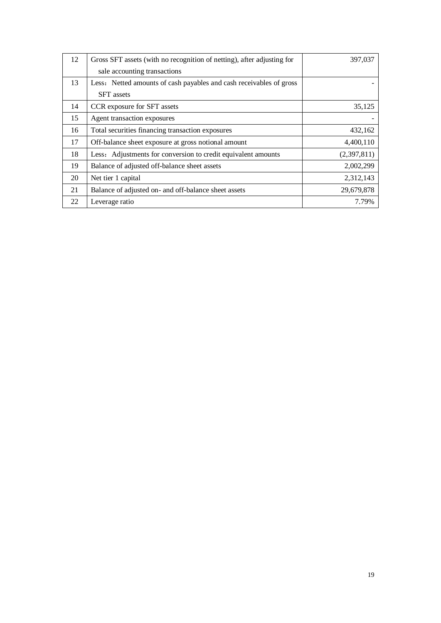| 12 | Gross SFT assets (with no recognition of netting), after adjusting for | 397,037     |
|----|------------------------------------------------------------------------|-------------|
|    | sale accounting transactions                                           |             |
| 13 | Less: Netted amounts of cash payables and cash receivables of gross    |             |
|    | <b>SFT</b> assets                                                      |             |
| 14 | CCR exposure for SFT assets                                            | 35,125      |
| 15 | Agent transaction exposures                                            |             |
| 16 | Total securities financing transaction exposures                       | 432,162     |
| 17 | Off-balance sheet exposure at gross notional amount                    | 4,400,110   |
| 18 | Less: Adjustments for conversion to credit equivalent amounts          | (2,397,811) |
| 19 | Balance of adjusted off-balance sheet assets                           | 2,002,299   |
| 20 | Net tier 1 capital                                                     | 2,312,143   |
| 21 | Balance of adjusted on- and off-balance sheet assets                   | 29,679,878  |
| 22 | Leverage ratio                                                         | 7.79%       |